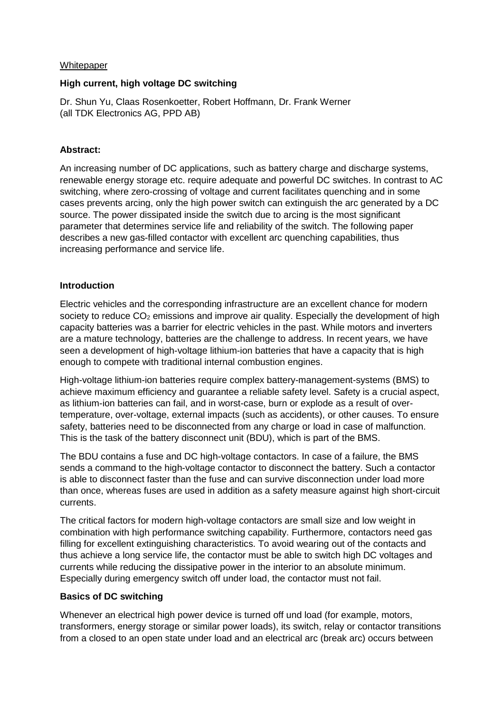#### **Whitepaper**

#### **High current, high voltage DC switching**

Dr. Shun Yu, Claas Rosenkoetter, Robert Hoffmann, Dr. Frank Werner (all TDK Electronics AG, PPD AB)

## **Abstract:**

An increasing number of DC applications, such as battery charge and discharge systems, renewable energy storage etc. require adequate and powerful DC switches. In contrast to AC switching, where zero-crossing of voltage and current facilitates quenching and in some cases prevents arcing, only the high power switch can extinguish the arc generated by a DC source. The power dissipated inside the switch due to arcing is the most significant parameter that determines service life and reliability of the switch. The following paper describes a new gas-filled contactor with excellent arc quenching capabilities, thus increasing performance and service life.

## **Introduction**

Electric vehicles and the corresponding infrastructure are an excellent chance for modern society to reduce  $CO<sub>2</sub>$  emissions and improve air quality. Especially the development of high capacity batteries was a barrier for electric vehicles in the past. While motors and inverters are a mature technology, batteries are the challenge to address. In recent years, we have seen a development of high-voltage lithium-ion batteries that have a capacity that is high enough to compete with traditional internal combustion engines.

High-voltage lithium-ion batteries require complex battery-management-systems (BMS) to achieve maximum efficiency and guarantee a reliable safety level. Safety is a crucial aspect, as lithium-ion batteries can fail, and in worst-case, burn or explode as a result of overtemperature, over-voltage, external impacts (such as accidents), or other causes. To ensure safety, batteries need to be disconnected from any charge or load in case of malfunction. This is the task of the battery disconnect unit (BDU), which is part of the BMS.

The BDU contains a fuse and DC high-voltage contactors. In case of a failure, the BMS sends a command to the high-voltage contactor to disconnect the battery. Such a contactor is able to disconnect faster than the fuse and can survive disconnection under load more than once, whereas fuses are used in addition as a safety measure against high short-circuit currents.

The critical factors for modern high-voltage contactors are small size and low weight in combination with high performance switching capability. Furthermore, contactors need gas filling for excellent extinguishing characteristics. To avoid wearing out of the contacts and thus achieve a long service life, the contactor must be able to switch high DC voltages and currents while reducing the dissipative power in the interior to an absolute minimum. Especially during emergency switch off under load, the contactor must not fail.

## **Basics of DC switching**

Whenever an electrical high power device is turned off und load (for example, motors, transformers, energy storage or similar power loads), its switch, relay or [contactor](https://en.wikipedia.org/wiki/Contactor) transitions from a closed to an open state under load and an electrical arc (break arc) occurs between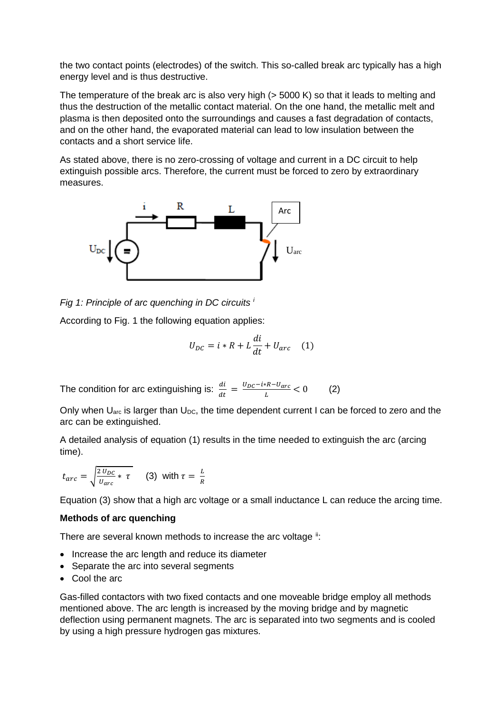the two contact points (electrodes) of the switch. This so-called break arc typically has a high energy level and is thus destructive.

The temperature of the break arc is also very high ( $>$  5000 K) so that it leads to melting and thus the destruction of the metallic contact material. On the one hand, the metallic melt and plasma is then deposited onto the surroundings and causes a fast degradation of contacts, and on the other hand, the evaporated material can lead to low insulation between the contacts and a short service life.

As stated above, there is no zero-crossing of voltage and current in a DC circuit to help extinguish possible arcs. Therefore, the current must be forced to zero by extraordinary measures.



*Fig 1: Principle of arc quenching in DC circuits [i](#page-2-0)*

According to Fig. 1 the following equation applies:

$$
U_{DC} = i * R + L\frac{di}{dt} + U_{arc} \quad (1)
$$

The condition for arc extinguishing is:  $\frac{di}{dt} = \frac{U_{DC} - i * R - U_{arc}}{L} < 0$  (2)

Only when  $U_{\text{arc}}$  is larger than  $U_{\text{DC}}$ , the time dependent current I can be forced to zero and the arc can be extinguished.

A detailed analysis of equation (1) results in the time needed to extinguish the arc (arcing time).

$$
t_{arc} = \sqrt{\frac{2 U_{DC}}{U_{arc}} \cdot \tau}
$$
 (3) with  $\tau = \frac{L}{R}$ 

Equation (3) show that a high arc voltage or a small inductance L can reduce the arcing time.

#### **Methods of arc quenching**

There are several known methods to increase the arc voltage  $\ddot{ }$ :

- Increase the arc length and reduce its diameter
- Separate the arc into several segments
- Cool the arc

Gas-filled contactors with two fixed contacts and one moveable bridge employ all methods mentioned above. The arc length is increased by the moving bridge and by magnetic deflection using permanent magnets. The arc is separated into two segments and is cooled by using a high pressure hydrogen gas mixtures.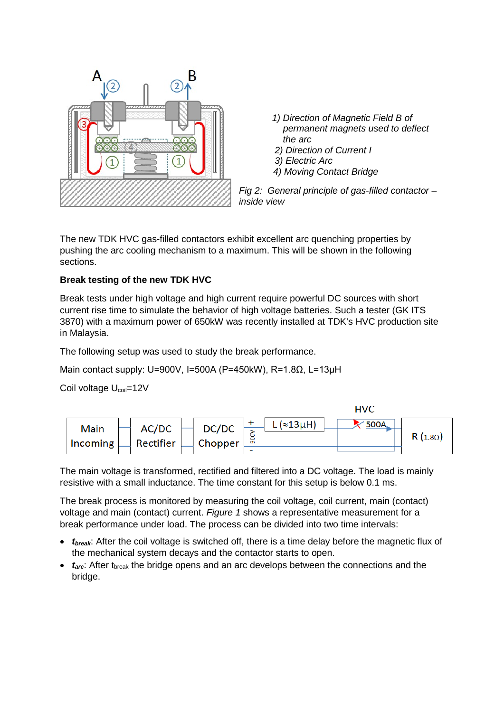

- *1) Direction of Magnetic Field B of permanent magnets used to deflect the arc*
- *2) Direction of Current I*
- *3) Electric Arc*
- *4) Moving Contact Bridge*

*Fig 2: General principle of gas-filled contactor – inside view*

The new TDK HVC gas-filled contactors exhibit excellent arc quenching properties by pushing the arc cooling mechanism to a maximum. This will be shown in the following sections.

# **Break testing of the new TDK HVC**

Break tests under high voltage and high current require powerful DC sources with short current rise time to simulate the behavior of high voltage batteries. Such a tester (GK ITS 3870) with a maximum power of 650kW was recently installed at TDK's HVC production site in Malaysia.

The following setup was used to study the break performance.

<span id="page-2-0"></span>Main contact supply: U=900V, I=500A (P=450kW), R=1.8Ω, L=13µH

Coil voltage U<sub>coil</sub>=12V

<span id="page-2-2"></span><span id="page-2-1"></span>

The main voltage is transformed, rectified and filtered into a DC voltage. The load is mainly resistive with a small inductance. The time constant for this setup is below 0.1 ms.

The break process is monitored by measuring the coil voltage, coil current, main (contact) voltage and main (contact) current. *[Figure 1](#page-3-0)* shows a representative measurement for a break performance under load. The process can be divided into two time intervals:

- *tbreak*: After the coil voltage is switched off, there is a time delay before the magnetic flux of the mechanical system decays and the contactor starts to open.
- *t<sub>arc</sub>*: After t<sub>break</sub> the bridge opens and an arc develops between the connections and the bridge.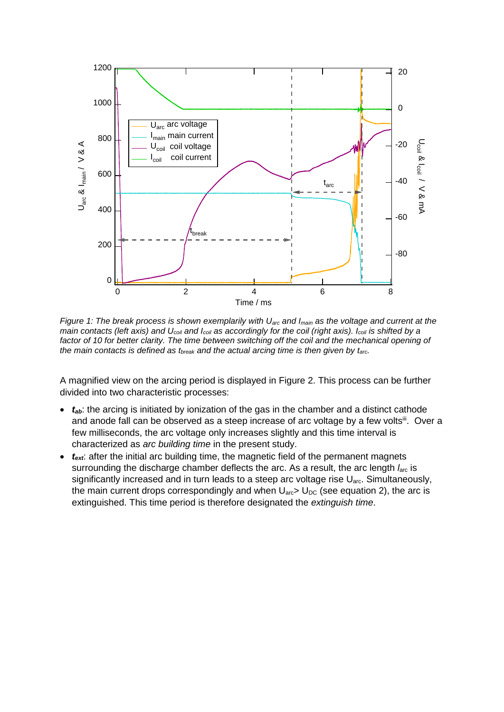

<span id="page-3-0"></span>*Figure 1: The break process is shown exemplarily with Uarc and Imain as the voltage and current at the main contacts (left axis) and Ucoil and Icoil as accordingly for the coil (right axis). Icoil is shifted by a*  factor of 10 for better clarity. The time between switching off the coil and the mechanical opening of *the main contacts is defined as tbreak and the actual arcing time is then given by tarc.*

A magnified view on the arcing period is displayed in [Figure 2.](#page-4-0) This process can be further divided into two characteristic processes:

- $t_{ab}$ : the arcing is initiated by ionization of the gas in the chamber and a distinct cathode and anode fall can be observed as a steep increase of arc voltage by a few voltsiil. Over a few milliseconds, the arc voltage only increases slightly and this time interval is characterized as *arc building time* in the present study.
- *text*: after the initial arc building time, the magnetic field of the permanent magnets surrounding the discharge chamber deflects the arc. As a result, the arc length *l<sub>arc</sub>* is significantly increased and in turn leads to a steep arc voltage rise U<sub>arc</sub>. Simultaneously, the main current drops correspondingly and when  $U_{\text{arc}}$  U<sub>DC</sub> (see equation 2), the arc is extinguished. This time period is therefore designated the *extinguish time*.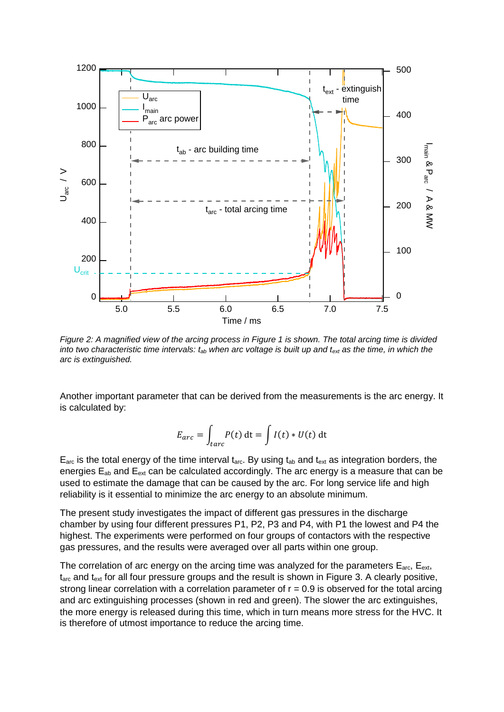

<span id="page-4-0"></span>*Figure 2: A magnified view of the arcing process in Figure 1 is shown. The total arcing time is divided into two characteristic time intervals: tab when arc voltage is built up and text as the time, in which the arc is extinguished.*

Another important parameter that can be derived from the measurements is the arc energy. It is calculated by:

$$
E_{arc} = \int_{tarc} P(t) dt = \int I(t) * U(t) dt
$$

 $E_{\text{arc}}$  is the total energy of the time interval t<sub>arc</sub>. By using t<sub>ab</sub> and t<sub>ext</sub> as integration borders, the energies  $E_{ab}$  and  $E_{ext}$  can be calculated accordingly. The arc energy is a measure that can be used to estimate the damage that can be caused by the arc. For long service life and high reliability is it essential to minimize the arc energy to an absolute minimum.

The present study investigates the impact of different gas pressures in the discharge chamber by using four different pressures P1, P2, P3 and P4, with P1 the lowest and P4 the highest. The experiments were performed on four groups of contactors with the respective gas pressures, and the results were averaged over all parts within one group.

The correlation of arc energy on the arcing time was analyzed for the parameters  $E_{\text{arc}}$ ,  $E_{\text{ext}}$ , t<sub>arc</sub> and t<sub>ext</sub> for all four pressure groups and the result is shown in [Figure 3.](#page-5-0) A clearly positive, strong linear correlation with a correlation parameter of  $r = 0.9$  is observed for the total arcing and arc extinguishing processes (shown in red and green). The slower the arc extinguishes, the more energy is released during this time, which in turn means more stress for the HVC. It is therefore of utmost importance to reduce the arcing time.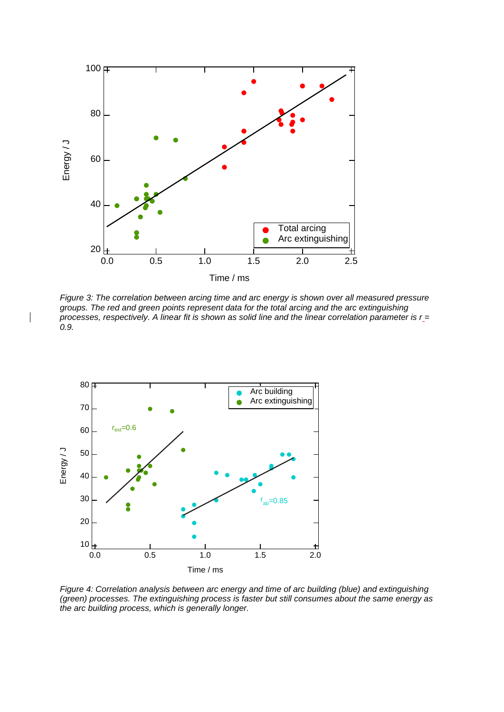

<span id="page-5-0"></span>*Figure 3: The correlation between arcing time and arc energy is shown over all measured pressure groups. The red and green points represent data for the total arcing and the arc extinguishing processes, respectively. A linear fit is shown as solid line and the linear correlation parameter is r = 0.9.*



 $\overline{\phantom{a}}$ 

<span id="page-5-1"></span>*Figure 4: Correlation analysis between arc energy and time of arc building (blue) and extinguishing (green) processes. The extinguishing process is faster but still consumes about the same energy as the arc building process, which is generally longer.*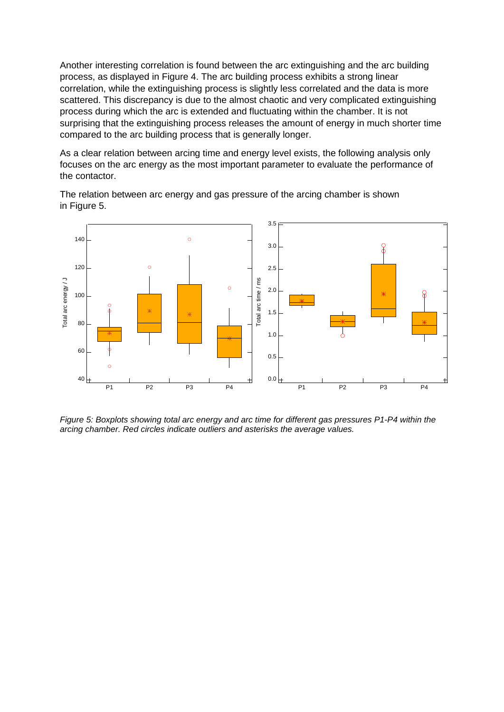Another interesting correlation is found between the arc extinguishing and the arc building process, as displayed in [Figure 4.](#page-5-1) The arc building process exhibits a strong linear correlation, while the extinguishing process is slightly less correlated and the data is more scattered. This discrepancy is due to the almost chaotic and very complicated extinguishing process during which the arc is extended and fluctuating within the chamber. It is not surprising that the extinguishing process releases the amount of energy in much shorter time compared to the arc building process that is generally longer.

As a clear relation between arcing time and energy level exists, the following analysis only focuses on the arc energy as the most important parameter to evaluate the performance of the contactor.

The relation between arc energy and gas pressure of the arcing chamber is shown in [Figure 5.](#page-6-0)



<span id="page-6-0"></span>*Figure 5: Boxplots showing total arc energy and arc time for different gas pressures P1-P4 within the arcing chamber. Red circles indicate outliers and asterisks the average values.*